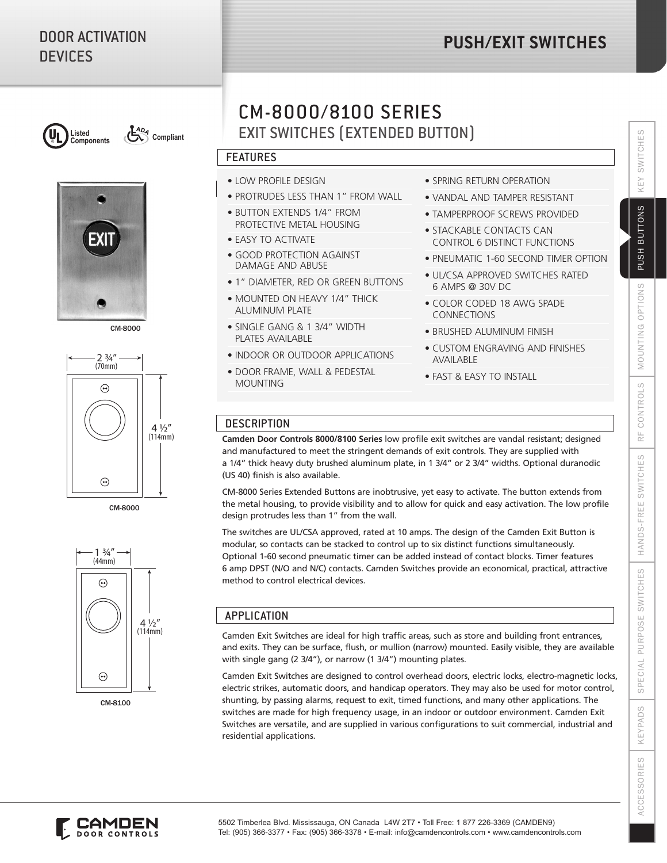# DOOR ACTIVATION **DEVICES**

# **PUSH/EXIT SWITCHES**





CM-8000



CM-8000



CM-8100

# EXIT SWITCHES (EXTENDED BUTTON) CM-8000/8100 SERIES

## FEATURES

- LOW PROFILE DESIGN
- LOW TROTILE BESIGN<br>• PROTRUDES LESS THAN 1" FROM WALL
- BUTTON EXTENDS 1/4" FROM PROTECTIVE METAL HOUSING
- EASY TO ACTIVATE
- GOOD PROTECTION AGAINST DAMAGE AND ABUSE
- 1" DIAMETER, RED OR GREEN BUTTONS
- MOUNTED ON HEAVY 1/4" THICK ALUMINUM PLATE
- SINGLE GANG & 1 3/4" WIDTH PLATES AVAILABLE
- INDOOR OR OUTDOOR APPLICATIONS
- DOOR FRAME, WALL & PEDESTAL MOUNTING
- SPRING RETURN OPERATION
- VANDAL AND TAMPER RESISTANT
- TAMPERPROOF SCREWS PROVIDED
- STACKABLE CONTACTS CAN CONTROL 6 DISTINCT FUNCTIONS
- PNEUMATIC 1-60 SECOND TIMER OPTION
- UL/CSA APPROVED SWITCHES RATED 6 AMPS @ 30V DC
- COLOR CODED 18 AWG SPADE CONNECTIONS
- BRUSHED ALUMINUM FINISH
- CUSTOM ENGRAVING AND FINISHES AVAILABLE
- FAST & EASY TO INSTALL

## **DESCRIPTION**

**Camden Door Controls 8000/8100 Series** low profile exit switches are vandal resistant; designed and manufactured to meet the stringent demands of exit controls. They are supplied with a 1/4" thick heavy duty brushed aluminum plate, in 1 3/4" or 2 3/4" widths. Optional duranodic (US 40) finish is also available.

CM-8000 Series Extended Buttons are inobtrusive, yet easy to activate. The button extends from the metal housing, to provide visibility and to allow for quick and easy activation. The low profile design protrudes less than 1" from the wall.

The switches are UL/CSA approved, rated at 10 amps. The design of the Camden Exit Button is modular, so contacts can be stacked to control up to six distinct functions simultaneously. Optional 1-60 second pneumatic timer can be added instead of contact blocks. Timer features 6 amp DPST (N/O and N/C) contacts. Camden Switches provide an economical, practical, attractive method to control electrical devices.

# **APPLICATION**

Camden Exit Switches are ideal for high traffic areas, such as store and building front entrances, and exits. They can be surface, flush, or mullion (narrow) mounted. Easily visible, they are available with single gang (2 3/4"), or narrow (1 3/4") mounting plates.

Camden Exit Switches are designed to control overhead doors, electric locks, electro-magnetic locks, electric strikes, automatic doors, and handicap operators. They may also be used for motor control, shunting, by passing alarms, request to exit, timed functions, and many other applications. The switches are made for high frequency usage, in an indoor or outdoor environment. Camden Exit Switches are versatile, and are supplied in various configurations to suit commercial, industrial and residential applications.